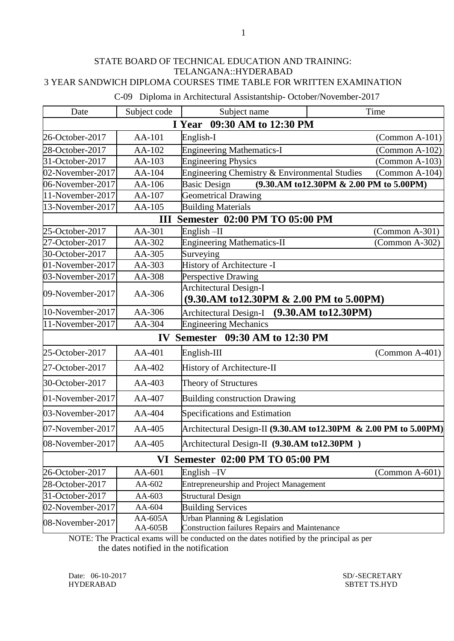| Date             | Subject code       | Subject name                                                                         | Time                                    |
|------------------|--------------------|--------------------------------------------------------------------------------------|-----------------------------------------|
|                  |                    | 09:30 AM to 12:30 PM<br>I Year                                                       |                                         |
| 26-October-2017  | AA-101             | English-I                                                                            | $\Gamma$ (Common A-101)                 |
| 28-October-2017  | AA-102             | <b>Engineering Mathematics-I</b>                                                     | $(Common A-102)$                        |
| 31-October-2017  | AA-103             | <b>Engineering Physics</b>                                                           | $(Common A-103)$                        |
| 02-November-2017 | AA-104             | Engineering Chemistry & Environmental Studies                                        | $(Common A-104)$                        |
| 06-November-2017 | AA-106             | <b>Basic Design</b>                                                                  | (9.30.AM to12.30PM & 2.00 PM to 5.00PM) |
| 11-November-2017 | AA-107             | <b>Geometrical Drawing</b>                                                           |                                         |
| 13-November-2017 | AA-105             | <b>Building Materials</b>                                                            |                                         |
|                  | III                | <b>Semester 02:00 PM TO 05:00 PM</b>                                                 |                                         |
| 25-October-2017  | AA-301             | $English$ -II                                                                        | $(Common A-301)$                        |
| 27-October-2017  | AA-302             | <b>Engineering Mathematics-II</b>                                                    | $(Common A-302)$                        |
| 30-October-2017  | AA-305             | Surveying                                                                            |                                         |
| 01-November-2017 | AA-303             | History of Architecture -I                                                           |                                         |
| 03-November-2017 | AA-308             | Perspective Drawing                                                                  |                                         |
| 09-November-2017 | AA-306             | <b>Architectural Design-I</b><br>(9.30.AM to12.30PM & 2.00 PM to 5.00PM)             |                                         |
| 10-November-2017 | AA-306             | <b>Architectural Design-I</b>                                                        | (9.30. AM to 12.30PM)                   |
| 11-November-2017 | AA-304             | <b>Engineering Mechanics</b>                                                         |                                         |
|                  | $\mathbf{IV}$      | Semester 09:30 AM to 12:30 PM                                                        |                                         |
| 25-October-2017  | AA-401             | English-III                                                                          | $\Gamma$ (Common A-401)                 |
| 27-October-2017  | AA-402             | History of Architecture-II                                                           |                                         |
| 30-October-2017  | $AA-403$           | Theory of Structures                                                                 |                                         |
| 01-November-2017 | AA-407             | <b>Building construction Drawing</b>                                                 |                                         |
| 03-November-2017 | AA-404             | Specifications and Estimation                                                        |                                         |
| 07-November-2017 | $AA-405$           | Architectural Design-II (9.30.AM to12.30PM $\&$ 2.00 PM to 5.00PM)                   |                                         |
| 08-November-2017 | $AA-405$           | Architectural Design-II (9.30.AM to12.30PM)                                          |                                         |
|                  |                    | VI Semester 02:00 PM TO 05:00 PM                                                     |                                         |
| 26-October-2017  | AA-601             | English-IV                                                                           | $(Common A-601)$                        |
| 28-October-2017  | AA-602             | <b>Entrepreneurship and Project Management</b>                                       |                                         |
| 31-October-2017  | AA-603             | <b>Structural Design</b>                                                             |                                         |
| 02-November-2017 | AA-604             | <b>Building Services</b>                                                             |                                         |
| 08-November-2017 | AA-605A<br>AA-605B | Urban Planning & Legislation<br><b>Construction failures Repairs and Maintenance</b> |                                         |

C-09 Diploma in Architectural Assistantship- October/November-2017

NOTE: The Practical exams will be conducted on the dates notified by the principal as per the dates notified in the notification

Date: 06-10-2017 SD/-SECRETARY HYDERABAD SBTET TS.HYD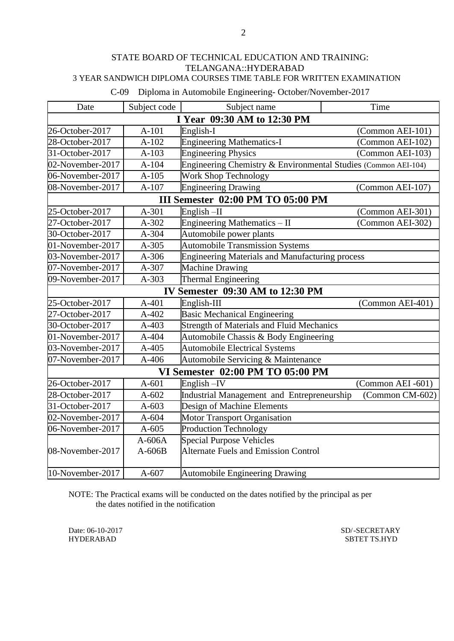## 3 YEAR SANDWICH DIPLOMA COURSES TIME TABLE FOR WRITTEN EXAMINATION

C-09 Diploma in Automobile Engineering- October/November-2017

| Date             | Subject code | Subject name                                                   | Time              |
|------------------|--------------|----------------------------------------------------------------|-------------------|
|                  |              | I Year 09:30 AM to 12:30 PM                                    |                   |
| 26-October-2017  | $A-101$      | English-I                                                      | (Common AEI-101)  |
| 28-October-2017  | $A-102$      | <b>Engineering Mathematics-I</b>                               | (Common AEI-102)  |
| 31-October-2017  | $A-103$      | <b>Engineering Physics</b>                                     | (Common AEI-103)  |
| 02-November-2017 | $A-104$      | Engineering Chemistry & Environmental Studies (Common AEI-104) |                   |
| 06-November-2017 | $A-105$      | Work Shop Technology                                           |                   |
| 08-November-2017 | $A-107$      | <b>Engineering Drawing</b>                                     | (Common AEI-107)  |
|                  |              | III Semester 02:00 PM TO 05:00 PM                              |                   |
| 25-October-2017  | A-301        | English-II                                                     | (Common AEI-301)  |
| 27-October-2017  | A-302        | Engineering Mathematics - II                                   | (Common AEI-302)  |
| 30-October-2017  | A-304        | Automobile power plants                                        |                   |
| 01-November-2017 | A-305        | Automobile Transmission Systems                                |                   |
| 03-November-2017 | A-306        | <b>Engineering Materials and Manufacturing process</b>         |                   |
| 07-November-2017 | A-307        | <b>Machine Drawing</b>                                         |                   |
| 09-November-2017 | $A-303$      | <b>Thermal Engineering</b>                                     |                   |
|                  |              | IV Semester 09:30 AM to 12:30 PM                               |                   |
| 25-October-2017  | $A-401$      | English-III                                                    | (Common AEI-401)  |
| 27-October-2017  | A-402        | Basic Mechanical Engineering                                   |                   |
| 30-October-2017  | $A-403$      | <b>Strength of Materials and Fluid Mechanics</b>               |                   |
| 01-November-2017 | A-404        | Automobile Chassis & Body Engineering                          |                   |
| 03-November-2017 | A-405        | <b>Automobile Electrical Systems</b>                           |                   |
| 07-November-2017 | A-406        | Automobile Servicing & Maintenance                             |                   |
|                  |              | VI Semester 02:00 PM TO 05:00 PM                               |                   |
| 26-October-2017  | $A-601$      | English-IV                                                     | (Common AEI -601) |
| 28-October-2017  | $A-602$      | Industrial Management and Entrepreneurship                     | (Common CM-602)   |
| 31-October-2017  | $A-603$      | Design of Machine Elements                                     |                   |
| 02-November-2017 | A-604        | <b>Motor Transport Organisation</b>                            |                   |
| 06-November-2017 | $A-605$      | <b>Production Technology</b>                                   |                   |
|                  | $A-606A$     | <b>Special Purpose Vehicles</b>                                |                   |
| 08-November-2017 | $A-606B$     | <b>Alternate Fuels and Emission Control</b>                    |                   |
| 10-November-2017 | $A-607$      | <b>Automobile Engineering Drawing</b>                          |                   |

NOTE: The Practical exams will be conducted on the dates notified by the principal as per the dates notified in the notification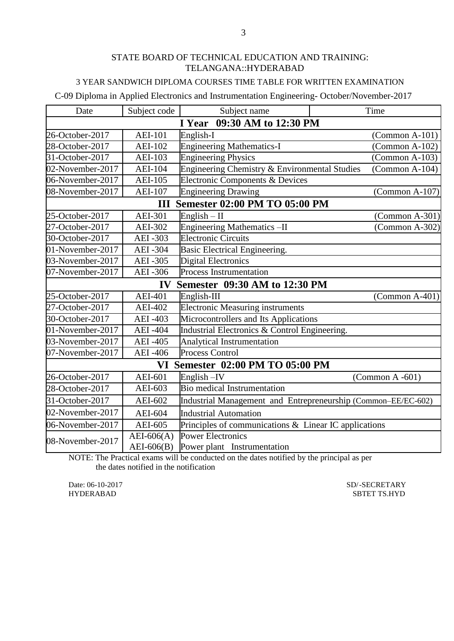## 3 YEAR SANDWICH DIPLOMA COURSES TIME TABLE FOR WRITTEN EXAMINATION

## C-09 Diploma in Applied Electronics and Instrumentation Engineering- October/November-2017

| Date                           | Subject code   | Subject name                                                  | Time |                         |  |
|--------------------------------|----------------|---------------------------------------------------------------|------|-------------------------|--|
| 09:30 AM to 12:30 PM<br>I Year |                |                                                               |      |                         |  |
| 26-October-2017                | <b>AEI-101</b> | English-I                                                     |      | $(Common A-101)$        |  |
| 28-October-2017                | <b>AEI-102</b> | <b>Engineering Mathematics-I</b>                              |      | $(Common A-102)$        |  |
| 31-October-2017                | <b>AEI-103</b> | <b>Engineering Physics</b>                                    |      | $(Common A-103)$        |  |
| 02-November-2017               | <b>AEI-104</b> | Engineering Chemistry & Environmental Studies                 |      | $(Common A-104)$        |  |
| 06-November-2017               | <b>AEI-105</b> | Electronic Components & Devices                               |      |                         |  |
| 08-November-2017               | <b>AEI-107</b> | <b>Engineering Drawing</b>                                    |      | $\Gamma$ (Common A-107) |  |
|                                | III            | <b>Semester 02:00 PM TO 05:00 PM</b>                          |      |                         |  |
| 25-October-2017                | <b>AEI-301</b> | $English - II$                                                |      | $\Gamma$ (Common A-301) |  |
| 27-October-2017                | <b>AEI-302</b> | Engineering Mathematics-II                                    |      | $(Common A-302)$        |  |
| 30-October-2017                | <b>AEI-303</b> | <b>Electronic Circuits</b>                                    |      |                         |  |
| 01-November-2017               | <b>AEI-304</b> | Basic Electrical Engineering.                                 |      |                         |  |
| 03-November-2017               | <b>AEI-305</b> | <b>Digital Electronics</b>                                    |      |                         |  |
| 07-November-2017               | <b>AEI-306</b> | Process Instrumentation                                       |      |                         |  |
|                                | $\mathbf{IV}$  | Semester 09:30 AM to 12:30 PM                                 |      |                         |  |
| 25-October-2017                | <b>AEI-401</b> | English-III                                                   |      | $\text{(Common A-401)}$ |  |
| 27-October-2017                | <b>AEI-402</b> | <b>Electronic Measuring instruments</b>                       |      |                         |  |
| 30-October-2017                | <b>AEI-403</b> | Microcontrollers and Its Applications                         |      |                         |  |
| 01-November-2017               | <b>AEI-404</b> | Industrial Electronics & Control Engineering.                 |      |                         |  |
| 03-November-2017               | <b>AEI-405</b> | <b>Analytical Instrumentation</b>                             |      |                         |  |
| 07-November-2017               | <b>AEI-406</b> | <b>Process Control</b>                                        |      |                         |  |
|                                |                | VI Semester 02:00 PM TO 05:00 PM                              |      |                         |  |
| 26-October-2017                | AEI-601        | English-IV                                                    |      | $(Common A - 601)$      |  |
| 28-October-2017                | AEI-603        | <b>Bio medical Instrumentation</b>                            |      |                         |  |
| 31-October-2017                | AEI-602        | Industrial Management and Entrepreneurship (Common-EE/EC-602) |      |                         |  |
| 02-November-2017               | <b>AEI-604</b> | <b>Industrial Automation</b>                                  |      |                         |  |
| 06-November-2017               | AEI-605        | Principles of communications & Linear IC applications         |      |                         |  |
| 08-November-2017               | $AEI-606(A)$   | <b>Power Electronics</b>                                      |      |                         |  |
|                                | $AEI-606(B)$   | Power plant Instrumentation                                   |      |                         |  |

NOTE: The Practical exams will be conducted on the dates notified by the principal as per the dates notified in the notification

Date: 06-10-2017 SD/-SECRETARY SD/-SECRETARY HYDERABAD SBTET TS.HYD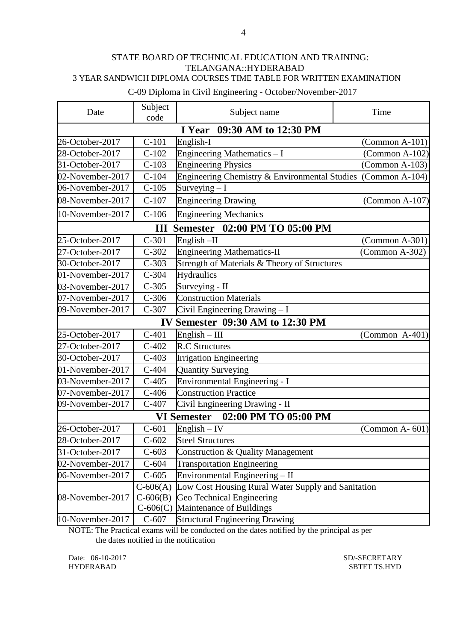3 YEAR SANDWICH DIPLOMA COURSES TIME TABLE FOR WRITTEN EXAMINATION

C-09 Diploma in Civil Engineering - October/November-2017

| Date             | Subject<br>code             | Subject name                                                 | Time                    |  |  |  |
|------------------|-----------------------------|--------------------------------------------------------------|-------------------------|--|--|--|
|                  | I Year 09:30 AM to 12:30 PM |                                                              |                         |  |  |  |
| 26-October-2017  | $C-101$                     | English-I                                                    | $(Common A-101)$        |  |  |  |
| 28-October-2017  | $C-102$                     | Engineering Mathematics - I                                  | $(Common A-102)$        |  |  |  |
| 31-October-2017  | $C-103$                     | <b>Engineering Physics</b>                                   | (Common A-103)          |  |  |  |
| 02-November-2017 | $C-104$                     | Engineering Chemistry & Environmental Studies (Common A-104) |                         |  |  |  |
| 06-November-2017 | $C-105$                     | Surveying $-I$                                               |                         |  |  |  |
| 08-November-2017 | $C-107$                     | <b>Engineering Drawing</b>                                   | $\Gamma$ (Common A-107) |  |  |  |
| 10-November-2017 | $C-106$                     | <b>Engineering Mechanics</b>                                 |                         |  |  |  |
|                  |                             | III Semester 02:00 PM TO 05:00 PM                            |                         |  |  |  |
| 25-October-2017  | $C-301$                     | English-II                                                   | $(Common A-301)$        |  |  |  |
| 27-October-2017  | $C-302$                     | <b>Engineering Mathematics-II</b>                            | $(Common A-302)$        |  |  |  |
| 30-October-2017  | $C-303$                     | Strength of Materials & Theory of Structures                 |                         |  |  |  |
| 01-November-2017 | $C-304$                     | <b>Hydraulics</b>                                            |                         |  |  |  |
| 03-November-2017 | $C-305$                     | Surveying - II                                               |                         |  |  |  |
| 07-November-2017 | $C-306$                     | <b>Construction Materials</b>                                |                         |  |  |  |
| 09-November-2017 | $C-307$                     | Civil Engineering Drawing - I                                |                         |  |  |  |
|                  |                             | IV Semester 09:30 AM to 12:30 PM                             |                         |  |  |  |
| 25-October-2017  | $C-401$                     | $English - III$                                              | $(Common A-401)$        |  |  |  |
| 27-October-2017  | $C-402$                     | <b>R.C Structures</b>                                        |                         |  |  |  |
| 30-October-2017  | $C-403$                     | <b>Irrigation Engineering</b>                                |                         |  |  |  |
| 01-November-2017 | $C-404$                     | <b>Quantity Surveying</b>                                    |                         |  |  |  |
| 03-November-2017 | $C-405$                     | Environmental Engineering - I                                |                         |  |  |  |
| 07-November-2017 | $C-406$                     | <b>Construction Practice</b>                                 |                         |  |  |  |
| 09-November-2017 | $C-407$                     | Civil Engineering Drawing - II                               |                         |  |  |  |
|                  |                             | 02:00 PM TO 05:00 PM<br><b>VI Semester</b>                   |                         |  |  |  |
| 26-October-2017  | $C-601$                     | English $-$ IV                                               | $(Common A - 601)$      |  |  |  |
| 28-October-2017  | $C-602$                     | <b>Steel Structures</b>                                      |                         |  |  |  |
| 31-October-2017  | $C-603$                     | Construction & Quality Management                            |                         |  |  |  |
| 02-November-2017 | $C-604$                     | <b>Transportation Engineering</b>                            |                         |  |  |  |
| 06-November-2017 | $C-605$                     | Environmental Engineering - II                               |                         |  |  |  |
|                  |                             | C-606(A) Low Cost Housing Rural Water Supply and Sanitation  |                         |  |  |  |
| 08-November-2017 |                             | C-606(B) Geo Technical Engineering                           |                         |  |  |  |
|                  |                             | $C$ -606 $(C)$ Maintenance of Buildings                      |                         |  |  |  |
| 10-November-2017 | $C-607$                     | <b>Structural Engineering Drawing</b>                        |                         |  |  |  |

NOTE: The Practical exams will be conducted on the dates notified by the principal as per the dates notified in the notification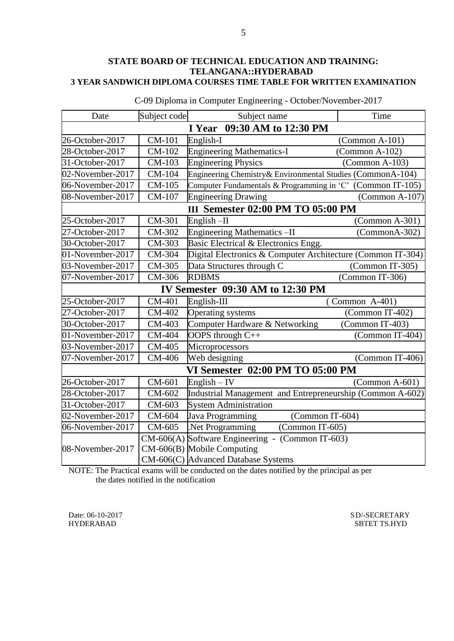| Date                           | Subject code | Subject name                                                | Time             |  |
|--------------------------------|--------------|-------------------------------------------------------------|------------------|--|
| 09:30 AM to 12:30 PM<br>I Year |              |                                                             |                  |  |
| 26-October-2017                | CM-101       | English-I                                                   | $(Common A-101)$ |  |
| 28-October-2017                | CM-102       | <b>Engineering Mathematics-I</b>                            | $(Common A-102)$ |  |
| 31-October-2017                | CM-103       | <b>Engineering Physics</b>                                  | $(Common A-103)$ |  |
| 02-November-2017               | CM-104       | Engineering Chemistry& Environmental Studies (CommonA-104)  |                  |  |
| 06-November-2017               | CM-105       | Computer Fundamentals & Programming in 'C' (Common IT-105)  |                  |  |
| 08-November-2017               | CM-107       | <b>Engineering Drawing</b>                                  | $(Common A-107)$ |  |
|                                |              | III Semester 02:00 PM TO 05:00 PM                           |                  |  |
| 25-October-2017                | CM-301       | English-II                                                  | $(Common A-301)$ |  |
| 27-October-2017                | CM-302       | Engineering Mathematics-II                                  | (CommonA-302)    |  |
| 30-October-2017                | CM-303       | Basic Electrical & Electronics Engg.                        |                  |  |
| 01-November-2017               | CM-304       | Digital Electronics & Computer Architecture (Common IT-304) |                  |  |
| 03-November-2017               | CM-305       | Data Structures through C                                   | (Common IT-305)  |  |
| 07-November-2017               | CM-306       | <b>RDBMS</b>                                                | (Common IT-306)  |  |
|                                |              | IV Semester 09:30 AM to 12:30 PM                            |                  |  |
| 25-October-2017                | CM-401       | English-III                                                 | $(Common A-401)$ |  |
| 27-October-2017                | CM-402       | <b>Operating systems</b>                                    | (Common IT-402)  |  |
| 30-October-2017                | CM-403       | Computer Hardware & Networking                              | (Common IT-403)  |  |
| 01-November-2017               | CM-404       | OOPS through C++                                            | (Common IT-404)  |  |
| 03-November-2017               | CM-405       | Microprocessors                                             |                  |  |
| 07-November-2017               | CM-406       | Web designing                                               | (Common IT-406)  |  |
|                                |              | <b>VI Semester 02:00 PM TO 05:00 PM</b>                     |                  |  |
| 26-October-2017                | CM-601       | $English - IV$                                              | $(Common A-601)$ |  |
| 28-October-2017                | CM-602       | Industrial Management and Entrepreneurship (Common A-602)   |                  |  |
| 31-October-2017                | CM-603       | <b>System Administration</b>                                |                  |  |
| 02-November-2017               | CM-604       | Java Programming<br>(Common IT-604)                         |                  |  |
| 06-November-2017               | CM-605       | Net Programming<br>(Common IT-605)                          |                  |  |
|                                |              | $CM-606(A)$ Software Engineering - (Common IT-603)          |                  |  |
| 08-November-2017               |              | CM-606(B) Mobile Computing                                  |                  |  |
|                                |              | CM-606(C) Advanced Database Systems                         |                  |  |

C-09 Diploma in Computer Engineering - October/November-2017

NOTE: The Practical exams will be conducted on the dates notified by the principal as per the dates notified in the notification

Date: 06-10-2017 SD/-SECRETARY SPHERABAD SPECTARY SPECTARY SPECTARY SPECTARY SPECTARY SPECTARY SPECTARY SPECTARY SBTET TS.HYD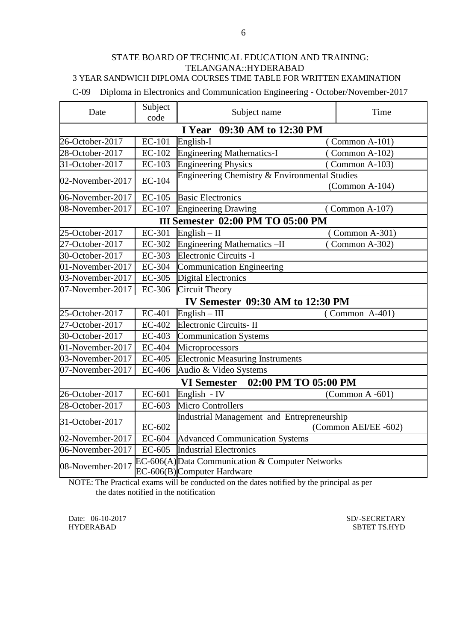#### 3 YEAR SANDWICH DIPLOMA COURSES TIME TABLE FOR WRITTEN EXAMINATION

C-09 Diploma in Electronics and Communication Engineering - October/November-2017

| Date             | Subject<br>code             | Subject name                                                                   | Time                 |  |  |
|------------------|-----------------------------|--------------------------------------------------------------------------------|----------------------|--|--|
|                  | I Year 09:30 AM to 12:30 PM |                                                                                |                      |  |  |
| 26-October-2017  | <b>EC-101</b>               | English-I                                                                      | $(Common A-101)$     |  |  |
| 28-October-2017  | EC-102                      | <b>Engineering Mathematics-I</b>                                               | Common A-102)        |  |  |
| 31-October-2017  | EC-103                      | <b>Engineering Physics</b>                                                     | (Common A-103)       |  |  |
| 02-November-2017 | <b>EC-104</b>               | Engineering Chemistry & Environmental Studies                                  | $(Common A-104)$     |  |  |
| 06-November-2017 | <b>EC-105</b>               | <b>Basic Electronics</b>                                                       |                      |  |  |
| 08-November-2017 | EC-107                      | <b>Engineering Drawing</b>                                                     | $(Common A-107)$     |  |  |
|                  |                             | <b>III Semester 02:00 PM TO 05:00 PM</b>                                       |                      |  |  |
| 25-October-2017  | EC-301                      | English $-$ II                                                                 | Common A-301)        |  |  |
| 27-October-2017  | EC-302                      | <b>Engineering Mathematics -II</b>                                             | (Common A-302)       |  |  |
| 30-October-2017  | EC-303                      | Electronic Circuits -I                                                         |                      |  |  |
| 01-November-2017 | EC-304                      | <b>Communication Engineering</b>                                               |                      |  |  |
| 03-November-2017 | EC-305                      | <b>Digital Electronics</b>                                                     |                      |  |  |
| 07-November-2017 | EC-306                      | <b>Circuit Theory</b>                                                          |                      |  |  |
|                  |                             | <b>IV Semester 09:30 AM to 12:30 PM</b>                                        |                      |  |  |
| 25-October-2017  | EC-401                      | $English - III$                                                                | $(Common A-401)$     |  |  |
| 27-October-2017  | EC-402                      | Electronic Circuits-II                                                         |                      |  |  |
| 30-October-2017  | EC-403                      | <b>Communication Systems</b>                                                   |                      |  |  |
| 01-November-2017 | EC-404                      | Microprocessors                                                                |                      |  |  |
| 03-November-2017 | EC-405                      | <b>Electronic Measuring Instruments</b>                                        |                      |  |  |
| 07-November-2017 | EC-406                      | Audio & Video Systems                                                          |                      |  |  |
|                  |                             | 02:00 PM TO 05:00 PM<br><b>VI Semester</b>                                     |                      |  |  |
| 26-October-2017  | EC-601                      | English - IV                                                                   | (Common $A - 601$ )  |  |  |
| 28-October-2017  | EC-603                      | <b>Micro Controllers</b>                                                       |                      |  |  |
| 31-October-2017  | EC-602                      | Industrial Management and Entrepreneurship                                     | (Common AEI/EE -602) |  |  |
| 02-November-2017 | EC-604                      | <b>Advanced Communication Systems</b>                                          |                      |  |  |
| 06-November-2017 | $EC-605$                    | <b>Industrial Electronics</b>                                                  |                      |  |  |
| 08-November-2017 |                             | EC-606(A) Data Communication & Computer Networks<br>EC-606(B)Computer Hardware |                      |  |  |

NOTE: The Practical exams will be conducted on the dates notified by the principal as per the dates notified in the notification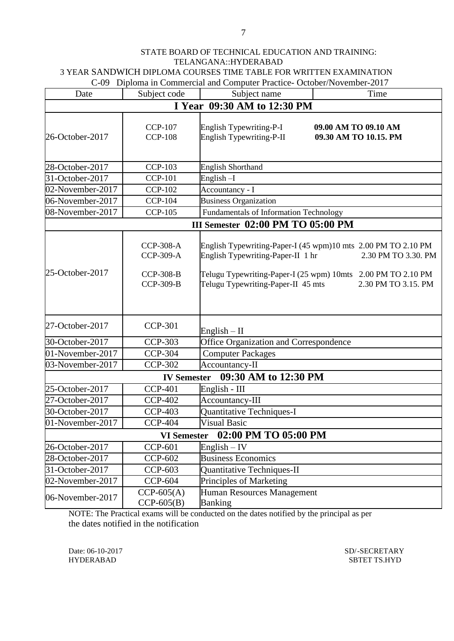C-09 Diploma in Commercial and Computer Practice- October/November-2017

| Date             | Subject code                                                                 | $\frac{1}{2}$<br>Subject name                                           | Time                                                                                                                                                                        |  |
|------------------|------------------------------------------------------------------------------|-------------------------------------------------------------------------|-----------------------------------------------------------------------------------------------------------------------------------------------------------------------------|--|
|                  |                                                                              | I Year 09:30 AM to 12:30 PM                                             |                                                                                                                                                                             |  |
| 26-October-2017  | <b>CCP-107</b><br><b>CCP-108</b>                                             | English Typewriting-P-I<br>English Typewriting-P-II                     | 09.00 AM TO 09.10 AM<br>09.30 AM TO 10.15. PM                                                                                                                               |  |
| 28-October-2017  | <b>CCP-103</b>                                                               | <b>English Shorthand</b>                                                |                                                                                                                                                                             |  |
| 31-October-2017  | <b>CCP-101</b>                                                               | English-I                                                               |                                                                                                                                                                             |  |
| 02-November-2017 | <b>CCP-102</b>                                                               | Accountancy - I                                                         |                                                                                                                                                                             |  |
| 06-November-2017 | <b>CCP-104</b>                                                               | <b>Business Organization</b>                                            |                                                                                                                                                                             |  |
| 08-November-2017 | <b>CCP-105</b>                                                               | Fundamentals of Information Technology                                  |                                                                                                                                                                             |  |
|                  |                                                                              | III Semester 02:00 PM TO 05:00 PM                                       |                                                                                                                                                                             |  |
| 25-October-2017  | <b>CCP-308-A</b><br><b>CCP-309-A</b><br><b>CCP-308-B</b><br><b>CCP-309-B</b> | English Typewriting-Paper-II 1 hr<br>Telugu Typewriting-Paper-II 45 mts | English Typewriting-Paper-I (45 wpm)10 mts 2.00 PM TO 2.10 PM<br>2.30 PM TO 3.30. PM<br>Telugu Typewriting-Paper-I (25 wpm) 10mts 2.00 PM TO 2.10 PM<br>2.30 PM TO 3.15. PM |  |
| 27-October-2017  | <b>CCP-301</b>                                                               | English $-$ II                                                          |                                                                                                                                                                             |  |
| 30-October-2017  | <b>CCP-303</b>                                                               | Office Organization and Correspondence                                  |                                                                                                                                                                             |  |
| 01-November-2017 | <b>CCP-304</b>                                                               | <b>Computer Packages</b>                                                |                                                                                                                                                                             |  |
| 03-November-2017 | <b>CCP-302</b>                                                               | Accountancy-II                                                          |                                                                                                                                                                             |  |
|                  |                                                                              | IV Semester 09:30 AM to 12:30 PM                                        |                                                                                                                                                                             |  |
| 25-October-2017  | <b>CCP-401</b>                                                               | English - III                                                           |                                                                                                                                                                             |  |
| 27-October-2017  | <b>CCP-402</b>                                                               | Accountancy-III                                                         |                                                                                                                                                                             |  |
| 30-October-2017  | <b>CCP-403</b>                                                               | Quantitative Techniques-I                                               |                                                                                                                                                                             |  |
| 01-November-2017 | <b>CCP-404</b>                                                               | <b>Visual Basic</b>                                                     |                                                                                                                                                                             |  |
|                  | <b>VI</b> Semester                                                           | 02:00 PM TO 05:00 PM                                                    |                                                                                                                                                                             |  |
| 26-October-2017  | <b>CCP-601</b>                                                               | $English - IV$                                                          |                                                                                                                                                                             |  |
| 28-October-2017  | <b>CCP-602</b>                                                               | <b>Business Economics</b>                                               |                                                                                                                                                                             |  |
| 31-October-2017  | <b>CCP-603</b>                                                               | Quantitative Techniques-II                                              |                                                                                                                                                                             |  |
| 02-November-2017 | <b>CCP-604</b>                                                               | Principles of Marketing                                                 |                                                                                                                                                                             |  |
| 06-November-2017 | $CCP-605(A)$<br>$CCP-605(B)$                                                 | Human Resources Management<br><b>Banking</b>                            |                                                                                                                                                                             |  |

NOTE: The Practical exams will be conducted on the dates notified by the principal as per the dates notified in the notification

Date: 06-10-2017 SD/-SECRETARY SD/-SECRETARY HYDERABAD SBTET TS.HYD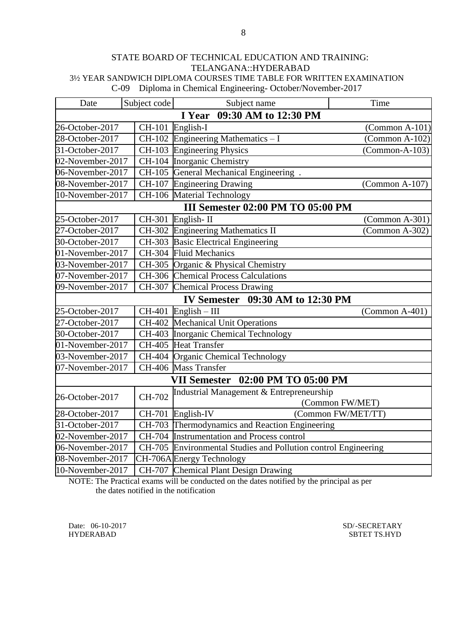C-09 Diploma in Chemical Engineering- October/November-2017

| Date             | Subject code                | Subject name                                                   | Time             |  |  |  |  |
|------------------|-----------------------------|----------------------------------------------------------------|------------------|--|--|--|--|
|                  | I Year 09:30 AM to 12:30 PM |                                                                |                  |  |  |  |  |
| 26-October-2017  |                             | CH-101 English-I                                               | $(Common A-101)$ |  |  |  |  |
| 28-October-2017  |                             | $CH-102$ Engineering Mathematics - I                           | $(Common A-102)$ |  |  |  |  |
| 31-October-2017  |                             | CH-103 Engineering Physics                                     | $(Common-A-103)$ |  |  |  |  |
| 02-November-2017 |                             | CH-104 Inorganic Chemistry                                     |                  |  |  |  |  |
| 06-November-2017 |                             | CH-105 General Mechanical Engineering.                         |                  |  |  |  |  |
| 08-November-2017 |                             | CH-107 Engineering Drawing                                     | $(Common A-107)$ |  |  |  |  |
| 10-November-2017 |                             | CH-106 Material Technology                                     |                  |  |  |  |  |
|                  |                             | III Semester 02:00 PM TO 05:00 PM                              |                  |  |  |  |  |
| 25-October-2017  |                             | CH-301 English-II                                              | $(Common A-301)$ |  |  |  |  |
| 27-October-2017  |                             | CH-302 Engineering Mathematics II                              | $(Common A-302)$ |  |  |  |  |
| 30-October-2017  |                             | CH-303 Basic Electrical Engineering                            |                  |  |  |  |  |
| 01-November-2017 |                             | CH-304 Fluid Mechanics                                         |                  |  |  |  |  |
| 03-November-2017 |                             | CH-305 Organic & Physical Chemistry                            |                  |  |  |  |  |
| 07-November-2017 |                             | CH-306 Chemical Process Calculations                           |                  |  |  |  |  |
| 09-November-2017 |                             | CH-307 Chemical Process Drawing                                |                  |  |  |  |  |
|                  |                             | <b>IV Semester</b> 09:30 AM to 12:30 PM                        |                  |  |  |  |  |
| 25-October-2017  |                             | $CH-401$ English - III                                         | $(Common A-401)$ |  |  |  |  |
| 27-October-2017  |                             | CH-402 Mechanical Unit Operations                              |                  |  |  |  |  |
| 30-October-2017  |                             | CH-403 Inorganic Chemical Technology                           |                  |  |  |  |  |
| 01-November-2017 |                             | CH-405 Heat Transfer                                           |                  |  |  |  |  |
| 03-November-2017 |                             | CH-404 Organic Chemical Technology                             |                  |  |  |  |  |
| 07-November-2017 |                             | CH-406 Mass Transfer                                           |                  |  |  |  |  |
|                  |                             | 02:00 PM TO 05:00 PM<br><b>VII Semester</b>                    |                  |  |  |  |  |
| 26-October-2017  | CH-702                      | Industrial Management & Entrepreneurship                       |                  |  |  |  |  |
|                  |                             |                                                                | (Common FW/MET)  |  |  |  |  |
| 28-October-2017  |                             | CH-701 English-IV<br>(Common FW/MET/TT)                        |                  |  |  |  |  |
| 31-October-2017  |                             | CH-703 Thermodynamics and Reaction Engineering                 |                  |  |  |  |  |
| 02-November-2017 |                             | CH-704 Instrumentation and Process control                     |                  |  |  |  |  |
| 06-November-2017 |                             | CH-705 Environmental Studies and Pollution control Engineering |                  |  |  |  |  |
| 08-November-2017 |                             | CH-706A Energy Technology                                      |                  |  |  |  |  |
| 10-November-2017 |                             | CH-707 Chemical Plant Design Drawing                           |                  |  |  |  |  |

NOTE: The Practical exams will be conducted on the dates notified by the principal as per the dates notified in the notification

Date: 06-10-2017 SD/-SECRETARY<br>HYDERABAD SBTET TS.HYD

SBTET TS.HYD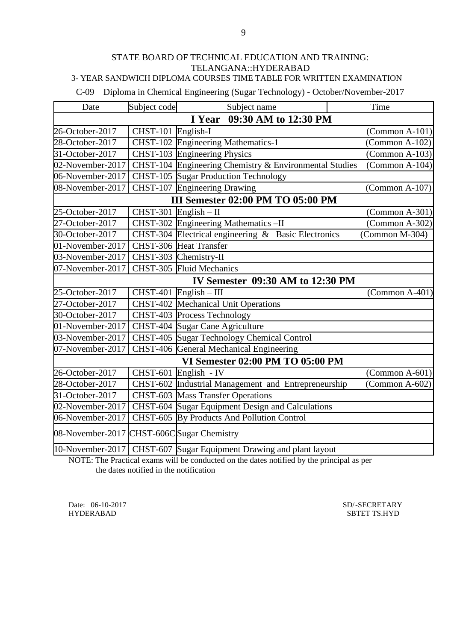## 3- YEAR SANDWICH DIPLOMA COURSES TIME TABLE FOR WRITTEN EXAMINATION

C-09 Diploma in Chemical Engineering (Sugar Technology) - October/November-2017

| Date                                      | Subject code       | Subject name                                                       | Time                    |  |
|-------------------------------------------|--------------------|--------------------------------------------------------------------|-------------------------|--|
| 09:30 AM to 12:30 PM<br>I Year            |                    |                                                                    |                         |  |
| 26-October-2017                           | CHST-101 English-I |                                                                    | $(Common A-101)$        |  |
| 28-October-2017                           |                    | CHST-102 Engineering Mathematics-1                                 | $(Common A-102)$        |  |
| 31-October-2017                           |                    | CHST-103 Engineering Physics                                       | $(Common A-103)$        |  |
| 02-November-2017                          |                    | CHST-104 Engineering Chemistry & Environmental Studies             | (Common A-104)          |  |
| 06-November-2017                          |                    | CHST-105 Sugar Production Technology                               |                         |  |
| 08-November-2017                          |                    | CHST-107 Engineering Drawing                                       | $\Gamma$ (Common A-107) |  |
|                                           |                    | III Semester 02:00 PM TO 05:00 PM                                  |                         |  |
| 25-October-2017                           | <b>CHST-301</b>    | $English - II$                                                     | (Common A-301)          |  |
| 27-October-2017                           | <b>CHST-302</b>    | Engineering Mathematics -II                                        | $(Common A-302)$        |  |
| 30-October-2017                           |                    | CHST-304 Electrical engineering & Basic Electronics                | (Common M-304)          |  |
| 01-November-2017                          |                    | CHST-306 Heat Transfer                                             |                         |  |
| 03-November-2017                          |                    | CHST-303 Chemistry-II                                              |                         |  |
| 07-November-2017                          |                    | CHST-305 Fluid Mechanics                                           |                         |  |
|                                           |                    | <b>IV Semester 09:30 AM to 12:30 PM</b>                            |                         |  |
| 25-October-2017                           |                    | $CHST-401$ English - III                                           | $(Common A-401)$        |  |
| 27-October-2017                           | <b>CHST-402</b>    | Mechanical Unit Operations                                         |                         |  |
| 30-October-2017                           |                    | CHST-403 Process Technology                                        |                         |  |
| 01-November-2017                          |                    | CHST-404 Sugar Cane Agriculture                                    |                         |  |
| 03-November-2017                          | $CHST-405$         | Sugar Technology Chemical Control                                  |                         |  |
| 07-November-2017                          |                    | CHST-406 General Mechanical Engineering                            |                         |  |
|                                           |                    | VI Semester 02:00 PM TO 05:00 PM                                   |                         |  |
| 26-October-2017                           |                    | CHST-601 English - IV                                              | $(Common A-601)$        |  |
| 28-October-2017                           |                    | CHST-602 Industrial Management and Entrepreneurship                | $(Common A-602)$        |  |
| 31-October-2017                           |                    | <b>CHST-603</b> Mass Transfer Operations                           |                         |  |
| 02-November-2017                          |                    | CHST-604 Sugar Equipment Design and Calculations                   |                         |  |
| 06-November-2017                          |                    | CHST-605 By Products And Pollution Control                         |                         |  |
| 08-November-2017 CHST-606CSugar Chemistry |                    |                                                                    |                         |  |
|                                           |                    | 10-November-2017 CHST-607 Sugar Equipment Drawing and plant layout |                         |  |

NOTE: The Practical exams will be conducted on the dates notified by the principal as per the dates notified in the notification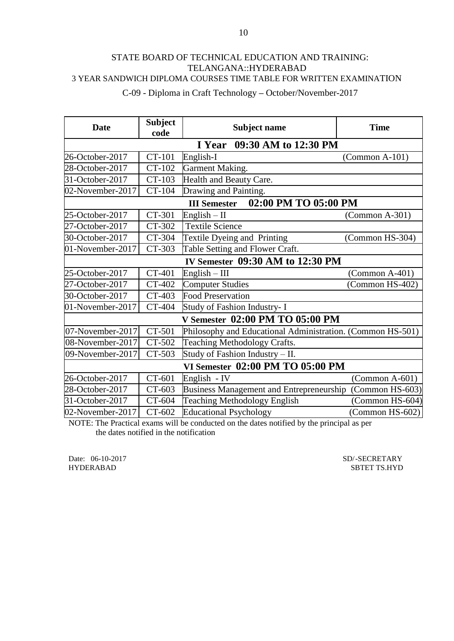C-09 - Diploma in Craft Technology **–** October/November-2017

| <b>Date</b>      | <b>Subject</b><br>code      | <b>Subject name</b>                                        | <b>Time</b>       |  |  |  |
|------------------|-----------------------------|------------------------------------------------------------|-------------------|--|--|--|
|                  | I Year 09:30 AM to 12:30 PM |                                                            |                   |  |  |  |
| 26-October-2017  | CT-101                      | English-I                                                  | $(Common A-101)$  |  |  |  |
| 28-October-2017  | CT-102                      | Garment Making.                                            |                   |  |  |  |
| 31-October-2017  | CT-103                      | Health and Beauty Care.                                    |                   |  |  |  |
| 02-November-2017 | CT-104                      | Drawing and Painting.                                      |                   |  |  |  |
|                  |                             | 02:00 PM TO 05:00 PM<br><b>III Semester</b>                |                   |  |  |  |
| 25-October-2017  | CT-301                      | $English - II$                                             | $(Common A-301)$  |  |  |  |
| 27-October-2017  | CT-302                      | <b>Textile Science</b>                                     |                   |  |  |  |
| 30-October-2017  | CT-304                      | Textile Dyeing and Printing                                | (Common HS-304)   |  |  |  |
| 01-November-2017 | CT-303                      | Table Setting and Flower Craft.                            |                   |  |  |  |
|                  |                             | IV Semester 09:30 AM to 12:30 PM                           |                   |  |  |  |
| 25-October-2017  | CT-401                      | $English - III$                                            | $(Common A-401)$  |  |  |  |
| 27-October-2017  | CT-402                      | <b>Computer Studies</b>                                    | (Common HS-402)   |  |  |  |
| 30-October-2017  | CT-403                      | <b>Food Preservation</b>                                   |                   |  |  |  |
| 01-November-2017 | CT-404                      | Study of Fashion Industry- I                               |                   |  |  |  |
|                  |                             | V Semester 02:00 PM TO 05:00 PM                            |                   |  |  |  |
| 07-November-2017 | CT-501                      | Philosophy and Educational Administration. (Common HS-501) |                   |  |  |  |
| 08-November-2017 | CT-502                      | Teaching Methodology Crafts.                               |                   |  |  |  |
| 09-November-2017 | CT-503                      | Study of Fashion Industry - II.                            |                   |  |  |  |
|                  |                             | VI Semester 02:00 PM TO 05:00 PM                           |                   |  |  |  |
| 26-October-2017  | CT-601                      | English - IV                                               | $(Common A-601)$  |  |  |  |
| 28-October-2017  | CT-603                      | Business Management and Entrepreneurship (Common HS-603)   |                   |  |  |  |
| 31-October-2017  | CT-604                      | Teaching Methodology English                               | (Common HS-604)   |  |  |  |
| 02-November-2017 | CT-602                      | <b>Educational Psychology</b>                              | $(Common HS-602)$ |  |  |  |

NOTE: The Practical exams will be conducted on the dates notified by the principal as per the dates notified in the notification

Date: 06-10-2017 SD/-SECRETARY<br>HYDERABAD SBTET TS.HYD SBTET TS.HYD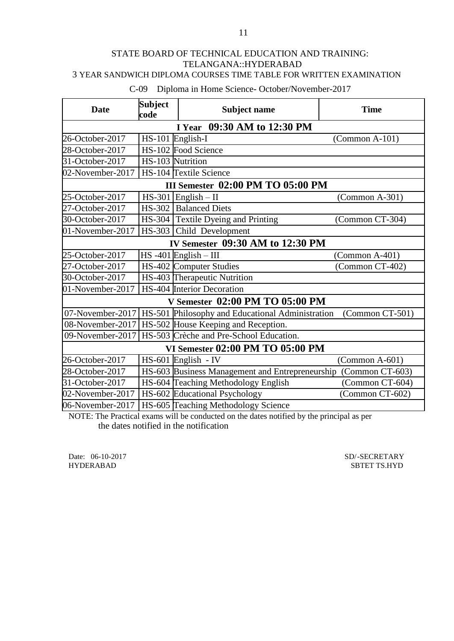# 3 YEAR SANDWICH DIPLOMA COURSES TIME TABLE FOR WRITTEN EXAMINATION

## C-09 Diploma in Home Science- October/November-2017

| <b>Date</b>                      | <b>Subject</b><br>code | <b>Subject name</b>                                                 | <b>Time</b>      |  |
|----------------------------------|------------------------|---------------------------------------------------------------------|------------------|--|
|                                  |                        | I Year 09:30 AM to 12:30 PM                                         |                  |  |
| 26-October-2017                  | HS-101 English-I       |                                                                     | (Common A-101)   |  |
| 28-October-2017                  |                        | HS-102 Food Science                                                 |                  |  |
| 31-October-2017                  | HS-103 Nutrition       |                                                                     |                  |  |
| 02-November-2017                 |                        | HS-104 Textile Science                                              |                  |  |
|                                  |                        | III Semester 02:00 PM TO 05:00 PM                                   |                  |  |
| 25-October-2017                  |                        | $HS-301$ English - II                                               | (Common A-301)   |  |
| 27-October-2017                  |                        | HS-302   Balanced Diets                                             |                  |  |
| 30-October-2017                  |                        | HS-304 Textile Dyeing and Printing                                  | (Common CT-304)  |  |
| 01-November-2017                 |                        | HS-303 Child Development                                            |                  |  |
|                                  |                        | IV Semester 09:30 AM to 12:30 PM                                    |                  |  |
| 25-October-2017                  |                        | $HS -401$ English - III                                             | $(Common A-401)$ |  |
| 27-October-2017                  |                        | HS-402 Computer Studies                                             | (Common CT-402)  |  |
| 30-October-2017                  |                        | HS-403 Therapeutic Nutrition                                        |                  |  |
| 01-November-2017                 |                        | HS-404 Interior Decoration                                          |                  |  |
|                                  |                        | V Semester 02:00 PM TO 05:00 PM                                     |                  |  |
|                                  |                        | 07-November-2017   HS-501 Philosophy and Educational Administration | (Common CT-501)  |  |
| 08-November-2017                 |                        | HS-502 House Keeping and Reception.                                 |                  |  |
| 09-November-2017                 |                        | HS-503 Crèche and Pre-School Education.                             |                  |  |
| VI Semester 02:00 PM TO 05:00 PM |                        |                                                                     |                  |  |
| 26-October-2017                  |                        | HS-601 English - IV                                                 | $(Common A-601)$ |  |
| 28-October-2017                  |                        | HS-603 Business Management and Entrepreneurship                     | (Common CT-603)  |  |
| 31-October-2017                  |                        | HS-604 Teaching Methodology English                                 | (Common CT-604)  |  |
| 02-November-2017                 |                        | HS-602 Educational Psychology                                       | (Common CT-602)  |  |
| 06-November-2017                 |                        | HS-605 Teaching Methodology Science                                 |                  |  |

NOTE: The Practical exams will be conducted on the dates notified by the principal as per the dates notified in the notification

Date: 06-10-2017<br>
HYDERABAD SBTET TS.HYD

SBTET TS.HYD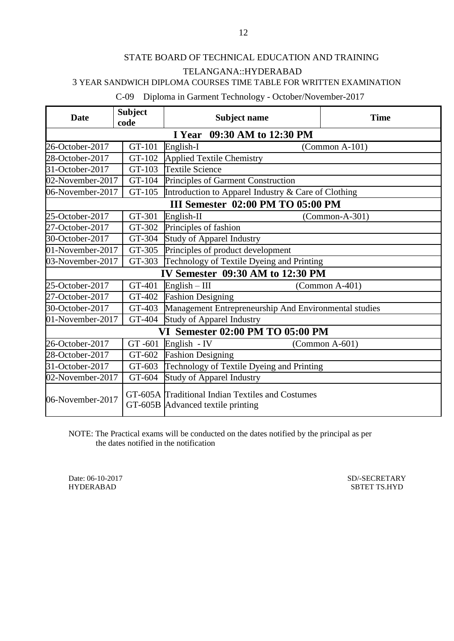3 YEAR SANDWICH DIPLOMA COURSES TIME TABLE FOR WRITTEN EXAMINATION

C-09 Diploma in Garment Technology - October/November-2017

| <b>Date</b>      | <b>Subject</b><br>code      | <b>Subject name</b>                                                                   | <b>Time</b>      |  |  |  |  |
|------------------|-----------------------------|---------------------------------------------------------------------------------------|------------------|--|--|--|--|
|                  | I Year 09:30 AM to 12:30 PM |                                                                                       |                  |  |  |  |  |
| 26-October-2017  | GT-101                      | English-I                                                                             | $(Common A-101)$ |  |  |  |  |
| 28-October-2017  | GT-102                      | <b>Applied Textile Chemistry</b>                                                      |                  |  |  |  |  |
| 31-October-2017  | GT-103                      | <b>Textile Science</b>                                                                |                  |  |  |  |  |
| 02-November-2017 | GT-104                      | Principles of Garment Construction                                                    |                  |  |  |  |  |
| 06-November-2017 | GT-105                      | Introduction to Apparel Industry & Care of Clothing                                   |                  |  |  |  |  |
|                  |                             | III Semester 02:00 PM TO 05:00 PM                                                     |                  |  |  |  |  |
| 25-October-2017  | GT-301                      | English-II                                                                            | $(Common-A-301)$ |  |  |  |  |
| 27-October-2017  | GT-302                      | Principles of fashion                                                                 |                  |  |  |  |  |
| 30-October-2017  | GT-304                      | <b>Study of Apparel Industry</b>                                                      |                  |  |  |  |  |
| 01-November-2017 | GT-305                      | Principles of product development                                                     |                  |  |  |  |  |
| 03-November-2017 | GT-303                      | Technology of Textile Dyeing and Printing                                             |                  |  |  |  |  |
|                  |                             | IV Semester 09:30 AM to 12:30 PM                                                      |                  |  |  |  |  |
| 25-October-2017  | GT-401                      | $English - III$<br>$(Common A-401)$                                                   |                  |  |  |  |  |
| 27-October-2017  | GT-402                      | <b>Fashion Designing</b>                                                              |                  |  |  |  |  |
| 30-October-2017  | GT-403                      | Management Entrepreneurship And Environmental studies                                 |                  |  |  |  |  |
| 01-November-2017 | GT-404                      | <b>Study of Apparel Industry</b>                                                      |                  |  |  |  |  |
|                  |                             | VI Semester 02:00 PM TO 05:00 PM                                                      |                  |  |  |  |  |
| 26-October-2017  | GT-601                      | English - IV                                                                          | $(Common A-601)$ |  |  |  |  |
| 28-October-2017  | GT-602                      | <b>Fashion Designing</b>                                                              |                  |  |  |  |  |
| 31-October-2017  | GT-603                      | Technology of Textile Dyeing and Printing                                             |                  |  |  |  |  |
| 02-November-2017 | GT-604                      | <b>Study of Apparel Industry</b>                                                      |                  |  |  |  |  |
| 06-November-2017 |                             | GT-605A Traditional Indian Textiles and Costumes<br>GT-605B Advanced textile printing |                  |  |  |  |  |

NOTE: The Practical exams will be conducted on the dates notified by the principal as per the dates notified in the notification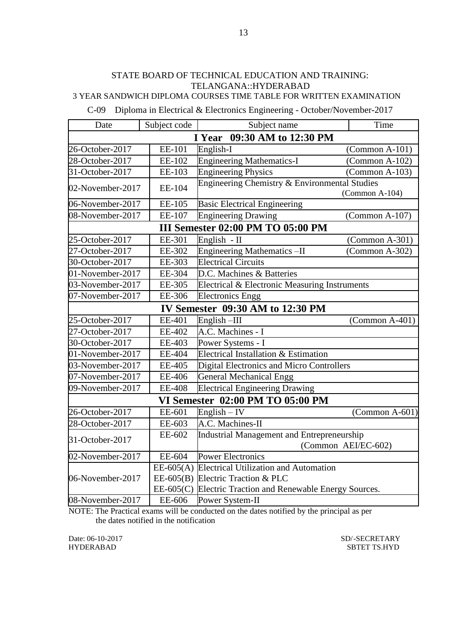C-09 Diploma in Electrical & Electronics Engineering - October/November-2017

| Date                           | Subject code  | Subject name                                              | Time                |  |  |  |
|--------------------------------|---------------|-----------------------------------------------------------|---------------------|--|--|--|
| 09:30 AM to 12:30 PM<br>I Year |               |                                                           |                     |  |  |  |
| 26-October-2017                | EE-101        | English-I                                                 | $(Common A-101)$    |  |  |  |
| 28-October-2017                | EE-102        | <b>Engineering Mathematics-I</b>                          | $(Common A-102)$    |  |  |  |
| 31-October-2017                | EE-103        | <b>Engineering Physics</b>                                | (Common A-103)      |  |  |  |
| 02-November-2017               | EE-104        | Engineering Chemistry & Environmental Studies             | (Common A-104)      |  |  |  |
| 06-November-2017               | EE-105        | <b>Basic Electrical Engineering</b>                       |                     |  |  |  |
| 08-November-2017               | EE-107        | <b>Engineering Drawing</b>                                | (Common A-107)      |  |  |  |
|                                |               | III Semester 02:00 PM TO 05:00 PM                         |                     |  |  |  |
| 25-October-2017                | EE-301        | English - II                                              | $(Common A-301)$    |  |  |  |
| 27-October-2017                | EE-302        | Engineering Mathematics-II                                | (Common A-302)      |  |  |  |
| 30-October-2017                | EE-303        | <b>Electrical Circuits</b>                                |                     |  |  |  |
| 01-November-2017               | EE-304        | D.C. Machines & Batteries                                 |                     |  |  |  |
| 03-November-2017               | EE-305        | Electrical & Electronic Measuring Instruments             |                     |  |  |  |
| 07-November-2017               | EE-306        | <b>Electronics Engg</b>                                   |                     |  |  |  |
|                                |               | IV Semester 09:30 AM to 12:30 PM                          |                     |  |  |  |
| 25-October-2017                | EE-401        | English $-III$                                            | $(Common A-401)$    |  |  |  |
| 27-October-2017                | EE-402        | A.C. Machines - I                                         |                     |  |  |  |
| 30-October-2017                | EE-403        | Power Systems - I                                         |                     |  |  |  |
| 01-November-2017               | EE-404        | Electrical Installation & Estimation                      |                     |  |  |  |
| 03-November-2017               | EE-405        | Digital Electronics and Micro Controllers                 |                     |  |  |  |
| 07-November-2017               | EE-406        | <b>General Mechanical Engg</b>                            |                     |  |  |  |
| 09-November-2017               | <b>EE-408</b> | <b>Electrical Engineering Drawing</b>                     |                     |  |  |  |
|                                |               | VI Semester 02:00 PM TO 05:00 PM                          |                     |  |  |  |
| 26-October-2017                | EE-601        | $English - IV$                                            | (Common A-601)      |  |  |  |
| 28-October-2017                | EE-603        | A.C. Machines-II                                          |                     |  |  |  |
| 31-October-2017                | EE-602        | Industrial Management and Entrepreneurship                |                     |  |  |  |
|                                |               |                                                           | (Common AEI/EC-602) |  |  |  |
| 02-November-2017               | EE-604        | <b>Power Electronics</b>                                  |                     |  |  |  |
|                                |               | EE-605(A) Electrical Utilization and Automation           |                     |  |  |  |
| 06-November-2017               |               | EE-605(B) Electric Traction & PLC                         |                     |  |  |  |
|                                |               | EE-605(C) Electric Traction and Renewable Energy Sources. |                     |  |  |  |
| 08-November-2017               | EE-606        | Power System-II                                           |                     |  |  |  |

NOTE: The Practical exams will be conducted on the dates notified by the principal as per the dates notified in the notification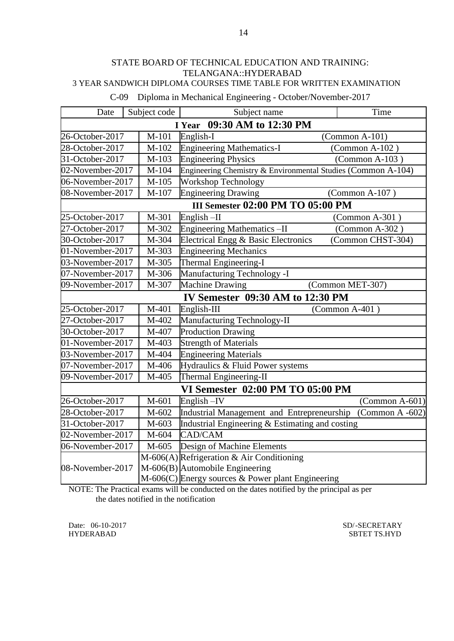|  |  |  |  | C-09 Diploma in Mechanical Engineering - October/November-2017 |  |
|--|--|--|--|----------------------------------------------------------------|--|
|--|--|--|--|----------------------------------------------------------------|--|

| Date                           | Subject code | Subject name                                                 | Time                    |  |
|--------------------------------|--------------|--------------------------------------------------------------|-------------------------|--|
| 09:30 AM to 12:30 PM<br>I Year |              |                                                              |                         |  |
| 26-October-2017                | $M-101$      | English-I                                                    | $(Common A-101)$        |  |
| 28-October-2017                | M-102        | <b>Engineering Mathematics-I</b>                             | $(Common A-102)$        |  |
| 31-October-2017                | M-103        | <b>Engineering Physics</b>                                   | $(Common A-103)$        |  |
| 02-November-2017               | M-104        | Engineering Chemistry & Environmental Studies (Common A-104) |                         |  |
| 06-November-2017               | M-105        | <b>Workshop Technology</b>                                   |                         |  |
| 08-November-2017               | M-107        | <b>Engineering Drawing</b>                                   | (Common A-107)          |  |
|                                |              | <b>III Semester 02:00 PM TO 05:00 PM</b>                     |                         |  |
| 25-October-2017                | M-301        | English-II                                                   | (Common A-301)          |  |
| 27-October-2017                | M-302        | <b>Engineering Mathematics-II</b>                            | (Common A-302)          |  |
| 30-October-2017                | M-304        | Electrical Engg & Basic Electronics                          | (Common CHST-304)       |  |
| 01-November-2017               | M-303        | <b>Engineering Mechanics</b>                                 |                         |  |
| 03-November-2017               | M-305        | Thermal Engineering-I                                        |                         |  |
| 07-November-2017               | M-306        | Manufacturing Technology -I                                  |                         |  |
| 09-November-2017               | M-307        | <b>Machine Drawing</b><br>(Common MET-307)                   |                         |  |
|                                |              | IV Semester 09:30 AM to 12:30 PM                             |                         |  |
| 25-October-2017                | M-401        | $English-III$                                                | (Common $A-401$ )       |  |
| 27-October-2017                | M-402        | Manufacturing Technology-II                                  |                         |  |
| 30-October-2017                | M-407        | <b>Production Drawing</b>                                    |                         |  |
| 01-November-2017               | M-403        | <b>Strength of Materials</b>                                 |                         |  |
| 03-November-2017               | M-404        | <b>Engineering Materials</b>                                 |                         |  |
| 07-November-2017               | M-406        | Hydraulics & Fluid Power systems                             |                         |  |
| 09-November-2017               | M-405        | Thermal Engineering-II                                       |                         |  |
|                                |              | <b>VI Semester 02:00 PM TO 05:00 PM</b>                      |                         |  |
| 26-October-2017                | M-601        | English-IV                                                   | $\Gamma$ (Common A-601) |  |
| 28-October-2017                | M-602        | Industrial Management and Entrepreneurship                   | (Common $A -602$ )      |  |
| 31-October-2017                | M-603        | Industrial Engineering & Estimating and costing              |                         |  |
| 02-November-2017               | M-604        | CAD/CAM                                                      |                         |  |
| 06-November-2017               | M-605        | Design of Machine Elements                                   |                         |  |
|                                |              | M-606(A) Refrigeration & Air Conditioning                    |                         |  |
| 08-November-2017               |              | M-606(B) Automobile Engineering                              |                         |  |
|                                |              | M-606(C) Energy sources & Power plant Engineering            |                         |  |

NOTE: The Practical exams will be conducted on the dates notified by the principal as per the dates notified in the notification

Date: 06-10-2017 SD/-SECRETARY<br>HYDERABAD SBTET TS.HYD SBTET TS.HYD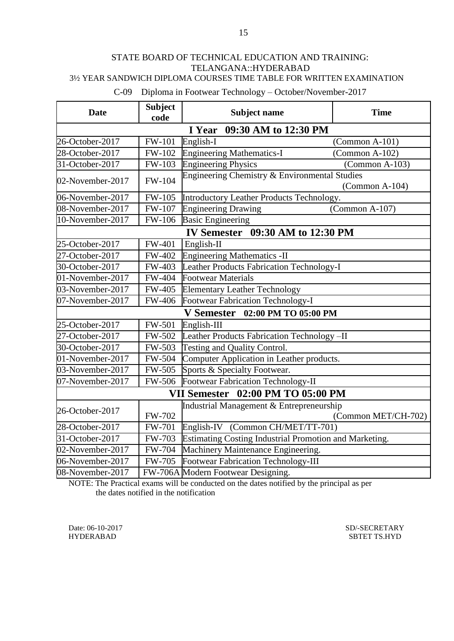## 3½ YEAR SANDWICH DIPLOMA COURSES TIME TABLE FOR WRITTEN EXAMINATION

C-09 Diploma in Footwear Technology – October/November-2017

| <b>Date</b>      | <b>Subject</b>             | <b>Subject name</b>                                    | <b>Time</b>                               |  |  |
|------------------|----------------------------|--------------------------------------------------------|-------------------------------------------|--|--|
|                  | code                       |                                                        |                                           |  |  |
|                  |                            | 09:30 AM to 12:30 PM<br>I Year                         |                                           |  |  |
| 26-October-2017  | FW-101                     | English-I                                              | $(Common A-101)$                          |  |  |
| 28-October-2017  | FW-102                     | <b>Engineering Mathematics-I</b>                       | $(Common A-102)$                          |  |  |
| 31-October-2017  | FW-103                     | <b>Engineering Physics</b>                             | $(Common A-103)$                          |  |  |
| 02-November-2017 | FW-104                     | Engineering Chemistry & Environmental Studies          | $(Common A-104)$                          |  |  |
| 06-November-2017 | <b>FW-105</b>              | Introductory Leather Products Technology.              |                                           |  |  |
| 08-November-2017 | FW-107                     | <b>Engineering Drawing</b>                             | (Common A-107)                            |  |  |
| 10-November-2017 | FW-106                     | <b>Basic Engineering</b>                               |                                           |  |  |
|                  |                            | <b>IV Semester</b> 09:30 AM to 12:30 PM                |                                           |  |  |
| 25-October-2017  | FW-401                     | English-II                                             |                                           |  |  |
| 27-October-2017  | FW-402                     | <b>Engineering Mathematics -II</b>                     |                                           |  |  |
| 30-October-2017  | FW-403                     |                                                        | Leather Products Fabrication Technology-I |  |  |
| 01-November-2017 | FW-404                     | <b>Footwear Materials</b>                              |                                           |  |  |
| 03-November-2017 | FW-405                     | <b>Elementary Leather Technology</b>                   |                                           |  |  |
| 07-November-2017 | FW-406                     | Footwear Fabrication Technology-I                      |                                           |  |  |
|                  |                            | V Semester 02:00 PM TO 05:00 PM                        |                                           |  |  |
| 25-October-2017  | FW-501                     | English-III                                            |                                           |  |  |
| 27-October-2017  | FW-502                     | Leather Products Fabrication Technology-II             |                                           |  |  |
| 30-October-2017  | $\overline{\text{FW-}}503$ | Testing and Quality Control.                           |                                           |  |  |
| 01-November-2017 | FW-504                     | Computer Application in Leather products.              |                                           |  |  |
| 03-November-2017 | FW-505                     | Sports & Specialty Footwear.                           |                                           |  |  |
| 07-November-2017 | FW-506                     | Footwear Fabrication Technology-II                     |                                           |  |  |
|                  |                            | VII Semester 02:00 PM TO 05:00 PM                      |                                           |  |  |
|                  |                            | Industrial Management & Entrepreneurship               |                                           |  |  |
| 26-October-2017  | <b>FW-702</b>              |                                                        | (Common MET/CH-702)                       |  |  |
| 28-October-2017  | FW-701                     | English-IV (Common CH/MET/TT-701)                      |                                           |  |  |
| 31-October-2017  | FW-703                     | Estimating Costing Industrial Promotion and Marketing. |                                           |  |  |
| 02-November-2017 | FW-704                     | Machinery Maintenance Engineering.                     |                                           |  |  |
| 06-November-2017 | <b>FW-705</b>              | Footwear Fabrication Technology-III                    |                                           |  |  |
| 08-November-2017 |                            | FW-706A Modern Footwear Designing.                     |                                           |  |  |

NOTE: The Practical exams will be conducted on the dates notified by the principal as per the dates notified in the notification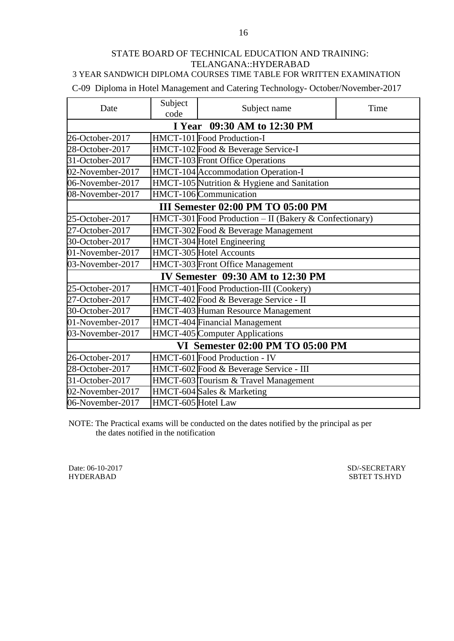3 YEAR SANDWICH DIPLOMA COURSES TIME TABLE FOR WRITTEN EXAMINATION

C-09 Diploma in Hotel Management and Catering Technology- October/November-2017

| Date                             | Subject<br>code                       | Subject name                                           | Time |  |  |
|----------------------------------|---------------------------------------|--------------------------------------------------------|------|--|--|
| I Year 09:30 AM to 12:30 PM      |                                       |                                                        |      |  |  |
| 26-October-2017                  |                                       | HMCT-101 Food Production-I                             |      |  |  |
| 28-October-2017                  |                                       | HMCT-102 Food & Beverage Service-I                     |      |  |  |
| 31-October-2017                  |                                       | <b>HMCT-103</b> Front Office Operations                |      |  |  |
| 02-November-2017                 |                                       | HMCT-104 Accommodation Operation-I                     |      |  |  |
| 06-November-2017                 |                                       | HMCT-105 Nutrition & Hygiene and Sanitation            |      |  |  |
| 08-November-2017                 |                                       | HMCT-106 Communication                                 |      |  |  |
|                                  |                                       | III Semester 02:00 PM TO 05:00 PM                      |      |  |  |
| 25-October-2017                  |                                       | HMCT-301 Food Production - II (Bakery & Confectionary) |      |  |  |
| 27-October-2017                  | HMCT-302 Food & Beverage Management   |                                                        |      |  |  |
| 30-October-2017                  | HMCT-304 Hotel Engineering            |                                                        |      |  |  |
| 01-November-2017                 | HMCT-305 Hotel Accounts               |                                                        |      |  |  |
| 03-November-2017                 | HMCT-303 Front Office Management      |                                                        |      |  |  |
|                                  |                                       | IV Semester 09:30 AM to 12:30 PM                       |      |  |  |
| 25-October-2017                  |                                       | HMCT-401 Food Production-III (Cookery)                 |      |  |  |
| 27-October-2017                  | HMCT-402 Food & Beverage Service - II |                                                        |      |  |  |
| 30-October-2017                  |                                       | HMCT-403 Human Resource Management                     |      |  |  |
| 01-November-2017                 | HMCT-404 Financial Management         |                                                        |      |  |  |
| 03-November-2017                 |                                       | HMCT-405 Computer Applications                         |      |  |  |
| VI Semester 02:00 PM TO 05:00 PM |                                       |                                                        |      |  |  |
| 26-October-2017                  |                                       | HMCT-601 Food Production - IV                          |      |  |  |
| 28-October-2017                  |                                       | HMCT-602 Food & Beverage Service - III                 |      |  |  |
| 31-October-2017                  |                                       | HMCT-603 Tourism & Travel Management                   |      |  |  |
| 02-November-2017                 | HMCT-604 Sales & Marketing            |                                                        |      |  |  |
| 06-November-2017                 | HMCT-605 Hotel Law                    |                                                        |      |  |  |

NOTE: The Practical exams will be conducted on the dates notified by the principal as per the dates notified in the notification

Date: 06-10-2017 SD/-SECRETARY SD/-SECRETARY HYDERABAD SBTET TS.HYD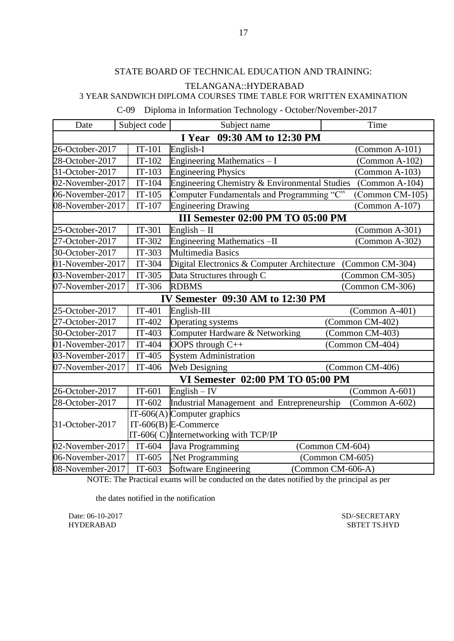## C-09 Diploma in Information Technology - October/November-2017

| Date             | Subject code                   | Subject name                                  | Time              |  |  |  |
|------------------|--------------------------------|-----------------------------------------------|-------------------|--|--|--|
|                  | 09:30 AM to 12:30 PM<br>I Year |                                               |                   |  |  |  |
| 26-October-2017  | $IT-101$                       | English-I                                     | $(Common A-101)$  |  |  |  |
| 28-October-2017  | $IT-102$                       | Engineering Mathematics - I                   | $(Common A-102)$  |  |  |  |
| 31-October-2017  | $IT-103$                       | <b>Engineering Physics</b>                    | $(Common A-103)$  |  |  |  |
| 02-November-2017 | $IT-104$                       | Engineering Chemistry & Environmental Studies | $(Common A-104)$  |  |  |  |
| 06-November-2017 | $IT-105$                       | Computer Fundamentals and Programming "C"     | (Common CM-105)   |  |  |  |
| 08-November-2017 | $IT-107$                       | <b>Engineering Drawing</b>                    | (Common A-107)    |  |  |  |
|                  |                                | III Semester 02:00 PM TO 05:00 PM             |                   |  |  |  |
| 25-October-2017  | $IT-301$                       | English $-$ II                                | $(Common A-301)$  |  |  |  |
| 27-October-2017  | IT-302                         | Engineering Mathematics -II                   | (Common A-302)    |  |  |  |
| 30-October-2017  | $IT-303$                       | <b>Multimedia Basics</b>                      |                   |  |  |  |
| 01-November-2017 | IT-304                         | Digital Electronics & Computer Architecture   | (Common CM-304)   |  |  |  |
| 03-November-2017 | $IT-305$                       | Data Structures through C                     | (Common CM-305)   |  |  |  |
| 07-November-2017 | IT-306                         | <b>RDBMS</b>                                  | (Common CM-306)   |  |  |  |
|                  |                                | IV Semester 09:30 AM to 12:30 PM              |                   |  |  |  |
| 25-October-2017  | $IT-401$                       | English-III                                   | $(Common A-401)$  |  |  |  |
| 27-October-2017  | $IT-402$                       | Operating systems                             | (Common CM-402)   |  |  |  |
| 30-October-2017  | $IT-403$                       | Computer Hardware & Networking                | (Common CM-403)   |  |  |  |
| 01-November-2017 | IT-404                         | OOPS through C++                              | (Common CM-404)   |  |  |  |
| 03-November-2017 | $IT-405$                       | <b>System Administration</b>                  |                   |  |  |  |
| 07-November-2017 | IT-406                         | Web Designing                                 | (Common CM-406)   |  |  |  |
|                  |                                | VI Semester 02:00 PM TO 05:00 PM              |                   |  |  |  |
| 26-October-2017  | $IT-601$                       | $English - IV$                                | $(Common A-601)$  |  |  |  |
| 28-October-2017  | $IT-602$                       | Industrial Management and Entrepreneurship    | (Common A-602)    |  |  |  |
|                  |                                | IT-606(A) Computer graphics                   |                   |  |  |  |
| 31-October-2017  |                                | IT-606(B) E-Commerce                          |                   |  |  |  |
|                  |                                | IT-606(C) Internetworking with TCP/IP         |                   |  |  |  |
| 02-November-2017 | $IT-604$                       | Java Programming                              | (Common CM-604)   |  |  |  |
| 06-November-2017 | $IT-605$                       | .Net Programming                              | (Common CM-605)   |  |  |  |
| 08-November-2017 | $IT-603$                       | Software Engineering                          | (Common CM-606-A) |  |  |  |

NOTE: The Practical exams will be conducted on the dates notified by the principal as per

the dates notified in the notification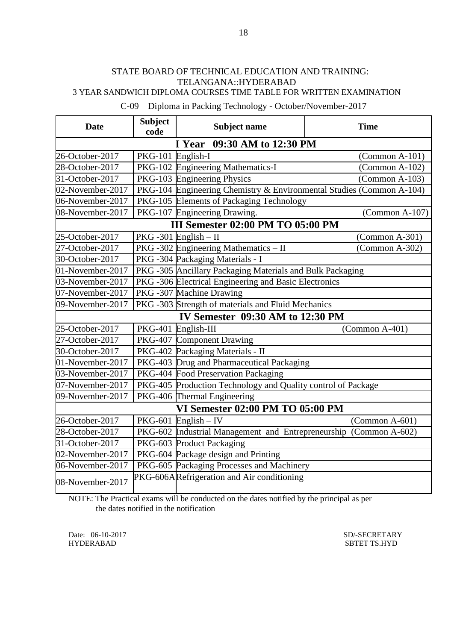## 3 YEAR SANDWICH DIPLOMA COURSES TIME TABLE FOR WRITTEN EXAMINATION

# C-09 Diploma in Packing Technology - October/November-2017

| <b>Date</b>                      | <b>Subject</b><br>code | <b>Subject name</b>                                                  | <b>Time</b>      |  |
|----------------------------------|------------------------|----------------------------------------------------------------------|------------------|--|
|                                  |                        | 09:30 AM to 12:30 PM<br>I Year                                       |                  |  |
| 26-October-2017                  | PKG-101 English-I      |                                                                      | $(Common A-101)$ |  |
| 28-October-2017                  |                        | PKG-102 Engineering Mathematics-I                                    | $(Common A-102)$ |  |
| 31-October-2017                  |                        | PKG-103 Engineering Physics                                          | $(Common A-103)$ |  |
| 02-November-2017                 |                        | PKG-104 Engineering Chemistry & Environmental Studies (Common A-104) |                  |  |
| 06-November-2017                 |                        | PKG-105 Elements of Packaging Technology                             |                  |  |
| 08-November-2017                 |                        | PKG-107 Engineering Drawing.                                         | (Common A-107)   |  |
|                                  |                        | III Semester 02:00 PM TO 05:00 PM                                    |                  |  |
| 25-October-2017                  |                        | $PKG -301$ English - II                                              | (Common A-301)   |  |
| 27-October-2017                  |                        | PKG -302 Engineering Mathematics $-$ II                              | $(Common A-302)$ |  |
| 30-October-2017                  |                        | PKG -304 Packaging Materials - I                                     |                  |  |
| 01-November-2017                 |                        | PKG -305 Ancillary Packaging Materials and Bulk Packaging            |                  |  |
| 03-November-2017                 |                        | PKG-306 Electrical Engineering and Basic Electronics                 |                  |  |
| 07-November-2017                 |                        | PKG-307 Machine Drawing                                              |                  |  |
| 09-November-2017                 |                        | PKG -303 Strength of materials and Fluid Mechanics                   |                  |  |
| IV Semester 09:30 AM to 12:30 PM |                        |                                                                      |                  |  |
| 25-October-2017                  |                        | PKG-401 English-III                                                  | $(Common A-401)$ |  |
| 27-October-2017                  |                        | PKG-407 Component Drawing                                            |                  |  |
| 30-October-2017                  |                        | PKG-402 Packaging Materials - II                                     |                  |  |
| 01-November-2017                 |                        | PKG-403 Drug and Pharmaceutical Packaging                            |                  |  |
| 03-November-2017                 |                        | PKG-404 Food Preservation Packaging                                  |                  |  |
| 07-November-2017                 |                        | PKG-405 Production Technology and Quality control of Package         |                  |  |
| 09-November-2017                 |                        | PKG-406 Thermal Engineering                                          |                  |  |
|                                  |                        | VI Semester 02:00 PM TO 05:00 PM                                     |                  |  |
| 26-October-2017                  |                        | $PKG-601$ English - IV                                               | $(Common A-601)$ |  |
| 28-October-2017                  |                        | PKG-602 Industrial Management and Entrepreneurship (Common A-602)    |                  |  |
| 31-October-2017                  |                        | PKG-603 Product Packaging                                            |                  |  |
| 02-November-2017                 |                        | PKG-604 Package design and Printing                                  |                  |  |
| 06-November-2017                 |                        | PKG-605 Packaging Processes and Machinery                            |                  |  |
| 08-November-2017                 |                        | PKG-606ARefrigeration and Air conditioning                           |                  |  |

NOTE: The Practical exams will be conducted on the dates notified by the principal as per the dates notified in the notification

HYDERABAD SBTET TS.HYD

Date: 06-10-2017 SD/-SECRETARY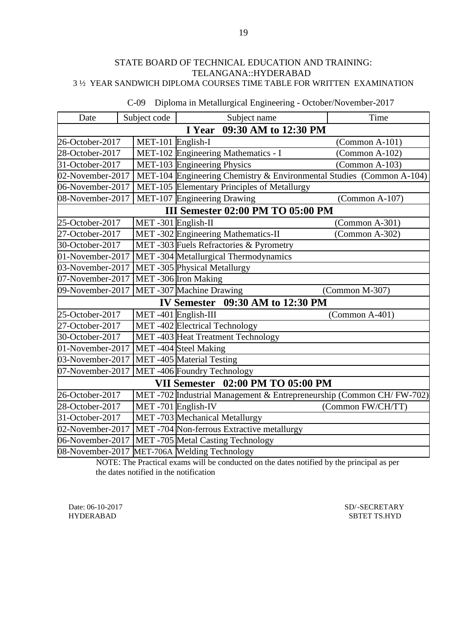| Date             | Subject code                   | Subject name                                                         | Time              |  |  |
|------------------|--------------------------------|----------------------------------------------------------------------|-------------------|--|--|
|                  | 09:30 AM to 12:30 PM<br>I Year |                                                                      |                   |  |  |
| 26-October-2017  | MET-101 English-I              |                                                                      | (Common A-101)    |  |  |
| 28-October-2017  |                                | MET-102 Engineering Mathematics - I                                  | (Common A-102)    |  |  |
| 31-October-2017  |                                | MET-103 Engineering Physics                                          | $(Common A-103)$  |  |  |
| 02-November-2017 |                                | MET-104 Engineering Chemistry & Environmental Studies (Common A-104) |                   |  |  |
| 06-November-2017 |                                | MET-105 Elementary Principles of Metallurgy                          |                   |  |  |
| 08-November-2017 |                                | MET-107 Engineering Drawing                                          | (Common A-107)    |  |  |
|                  |                                | <b>III Semester 02:00 PM TO 05:00 PM</b>                             |                   |  |  |
| 25-October-2017  | MET-301 English-II             |                                                                      | $(Common A-301)$  |  |  |
| 27-October-2017  |                                | MET-302 Engineering Mathematics-II                                   | (Common A-302)    |  |  |
| 30-October-2017  |                                | MET-303 Fuels Refractories & Pyrometry                               |                   |  |  |
| 01-November-2017 |                                | MET-304 Metallurgical Thermodynamics                                 |                   |  |  |
| 03-November-2017 |                                | MET-305 Physical Metallurgy                                          |                   |  |  |
| 07-November-2017 |                                | MET-306 Iron Making                                                  |                   |  |  |
| 09-November-2017 |                                | MET-307 Machine Drawing                                              | (Common M-307)    |  |  |
|                  |                                | IV Semester 09:30 AM to 12:30 PM                                     |                   |  |  |
| 25-October-2017  |                                | MET-401 English-III                                                  | $(Common A-401)$  |  |  |
| 27-October-2017  |                                | MET-402 Electrical Technology                                        |                   |  |  |
| 30-October-2017  |                                | MET-403 Heat Treatment Technology                                    |                   |  |  |
| 01-November-2017 |                                | MET-404 Steel Making                                                 |                   |  |  |
| 03-November-2017 |                                | MET-405 Material Testing                                             |                   |  |  |
| 07-November-2017 |                                | MET-406 Foundry Technology                                           |                   |  |  |
|                  |                                | VII Semester 02:00 PM TO 05:00 PM                                    |                   |  |  |
| 26-October-2017  |                                | MET -702 Industrial Management & Entrepreneurship (Common CH/FW-702) |                   |  |  |
| 28-October-2017  |                                | MET-701 English-IV                                                   | (Common FW/CH/TT) |  |  |
| 31-October-2017  |                                | MET -703 Mechanical Metallurgy                                       |                   |  |  |
| 02-November-2017 |                                | MET-704 Non-ferrous Extractive metallurgy                            |                   |  |  |
| 06-November-2017 |                                | MET-705 Metal Casting Technology                                     |                   |  |  |
| 08-November-2017 |                                | MET-706A Welding Technology                                          |                   |  |  |

C-09 Diploma in Metallurgical Engineering - October/November-2017

NOTE: The Practical exams will be conducted on the dates notified by the principal as per the dates notified in the notification

Date: 06-10-2017 SD/-SECRETARY<br>HYDERABAD SBTET TS.HYD SBTET TS.HYD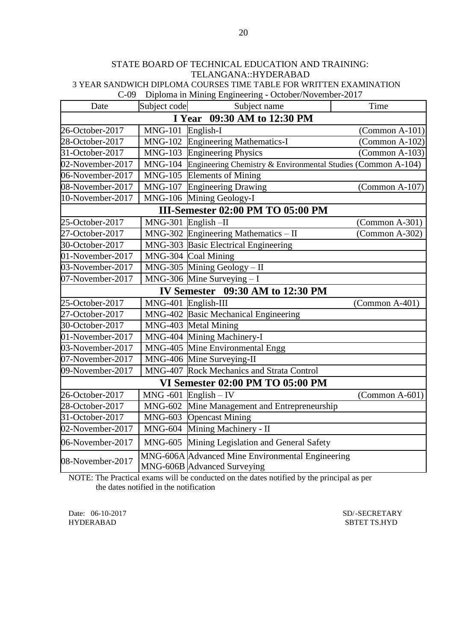C-09 Diploma in Mining Engineering - October/November-2017

| Date                        | Subject code        | Subject name                                                                    | Time                    |  |  |
|-----------------------------|---------------------|---------------------------------------------------------------------------------|-------------------------|--|--|
| I Year 09:30 AM to 12:30 PM |                     |                                                                                 |                         |  |  |
| 26-October-2017             | <b>MNG-101</b>      | English-I                                                                       | $\Gamma$ (Common A-101) |  |  |
| 28-October-2017             | <b>MNG-102</b>      | <b>Engineering Mathematics-I</b>                                                | (Common A-102)          |  |  |
| 31-October-2017             | <b>MNG-103</b>      | <b>Engineering Physics</b>                                                      | $(Common A-103)$        |  |  |
| 02-November-2017            | <b>MNG-104</b>      | Engineering Chemistry & Environmental Studies (Common A-104)                    |                         |  |  |
| 06-November-2017            | <b>MNG-105</b>      | <b>Elements of Mining</b>                                                       |                         |  |  |
| 08-November-2017            | <b>MNG-107</b>      | <b>Engineering Drawing</b>                                                      | $\Gamma$ (Common A-107) |  |  |
| 10-November-2017            | <b>MNG-106</b>      | Mining Geology-I                                                                |                         |  |  |
|                             |                     | III-Semester 02:00 PM TO 05:00 PM                                               |                         |  |  |
| 25-October-2017             | <b>MNG-301</b>      | $English$ -II                                                                   | $(Common A-301)$        |  |  |
| 27-October-2017             |                     | $MNG-302$ Engineering Mathematics - II                                          | $(Common A-302)$        |  |  |
| 30-October-2017             |                     | MNG-303 Basic Electrical Engineering                                            |                         |  |  |
| 01-November-2017            |                     | MNG-304 Coal Mining                                                             |                         |  |  |
| 03-November-2017            |                     | MNG-305 Mining Geology - II                                                     |                         |  |  |
| 07-November-2017            |                     | MNG-306 Mine Surveying $-I$                                                     |                         |  |  |
|                             |                     | IV Semester 09:30 AM to 12:30 PM                                                |                         |  |  |
| 25-October-2017             | MNG-401 English-III |                                                                                 | (Common A-401)          |  |  |
| 27-October-2017             |                     | MNG-402 Basic Mechanical Engineering                                            |                         |  |  |
| 30-October-2017             |                     | MNG-403 Metal Mining                                                            |                         |  |  |
| 01-November-2017            |                     | MNG-404 Mining Machinery-I                                                      |                         |  |  |
| 03-November-2017            |                     | MNG-405 Mine Environmental Engg                                                 |                         |  |  |
| 07-November-2017            |                     | MNG-406 Mine Surveying-II                                                       |                         |  |  |
| 09-November-2017            |                     | MNG-407 Rock Mechanics and Strata Control                                       |                         |  |  |
|                             |                     | <b>VI Semester 02:00 PM TO 05:00 PM</b>                                         |                         |  |  |
| 26-October-2017             |                     | MNG -601 $English - IV$                                                         | $(Common A-601)$        |  |  |
| 28-October-2017             | <b>MNG-602</b>      | Mine Management and Entrepreneurship                                            |                         |  |  |
| 31-October-2017             | <b>MNG-603</b>      | <b>Opencast Mining</b>                                                          |                         |  |  |
| 02-November-2017            | <b>MNG-604</b>      | Mining Machinery - II                                                           |                         |  |  |
| 06-November-2017            | <b>MNG-605</b>      | Mining Legislation and General Safety                                           |                         |  |  |
| 08-November-2017            |                     | MNG-606A Advanced Mine Environmental Engineering<br>MNG-606B Advanced Surveying |                         |  |  |

NOTE: The Practical exams will be conducted on the dates notified by the principal as per the dates notified in the notification